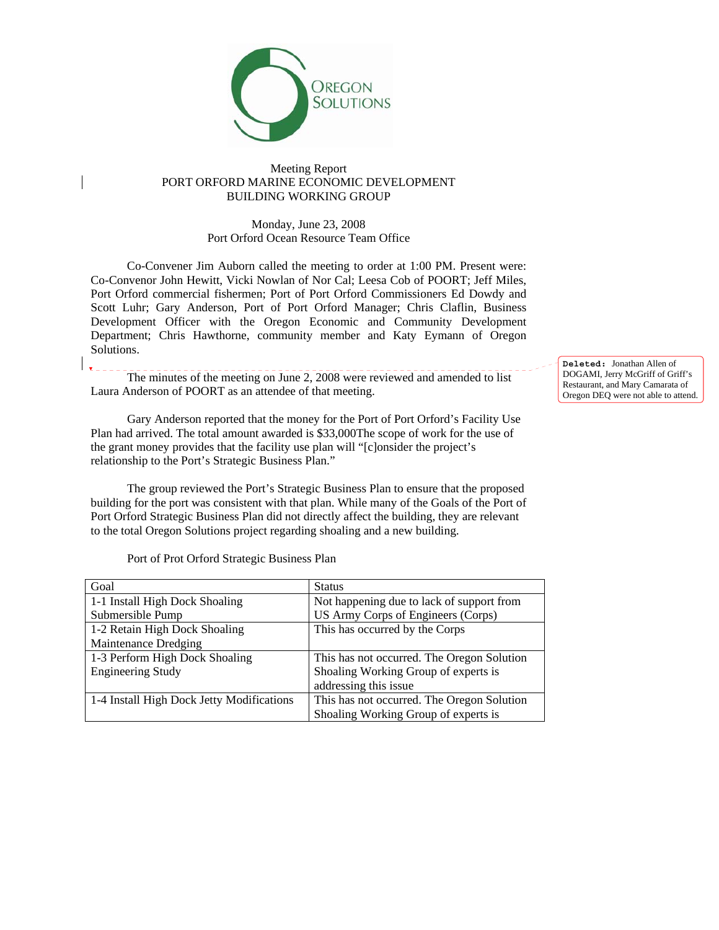

## Meeting Report PORT ORFORD MARINE ECONOMIC DEVELOPMENT BUILDING WORKING GROUP

Monday, June 23, 2008 Port Orford Ocean Resource Team Office

 Co-Convener Jim Auborn called the meeting to order at 1:00 PM. Present were: Co-Convenor John Hewitt, Vicki Nowlan of Nor Cal; Leesa Cob of POORT; Jeff Miles, Port Orford commercial fishermen; Port of Port Orford Commissioners Ed Dowdy and Scott Luhr; Gary Anderson, Port of Port Orford Manager; Chris Claflin, Business Development Officer with the Oregon Economic and Community Development Department; Chris Hawthorne, community member and Katy Eymann of Oregon Solutions.

 The minutes of the meeting on June 2, 2008 were reviewed and amended to list Laura Anderson of POORT as an attendee of that meeting.

 Gary Anderson reported that the money for the Port of Port Orford's Facility Use Plan had arrived. The total amount awarded is \$33,000The scope of work for the use of the grant money provides that the facility use plan will "[c]onsider the project's relationship to the Port's Strategic Business Plan."

 The group reviewed the Port's Strategic Business Plan to ensure that the proposed building for the port was consistent with that plan. While many of the Goals of the Port of Port Orford Strategic Business Plan did not directly affect the building, they are relevant to the total Oregon Solutions project regarding shoaling and a new building.

Port of Prot Orford Strategic Business Plan

| Goal                                      | <b>Status</b>                              |
|-------------------------------------------|--------------------------------------------|
| 1-1 Install High Dock Shoaling            | Not happening due to lack of support from  |
| Submersible Pump                          | US Army Corps of Engineers (Corps)         |
| 1-2 Retain High Dock Shoaling             | This has occurred by the Corps             |
| Maintenance Dredging                      |                                            |
| 1-3 Perform High Dock Shoaling            | This has not occurred. The Oregon Solution |
| <b>Engineering Study</b>                  | Shoaling Working Group of experts is       |
|                                           | addressing this issue                      |
| 1-4 Install High Dock Jetty Modifications | This has not occurred. The Oregon Solution |
|                                           | Shoaling Working Group of experts is       |

**Deleted:** Jonathan Allen of DOGAMI, Jerry McGriff of Griff's Restaurant, and Mary Camarata of Oregon DEQ were not able to attend.